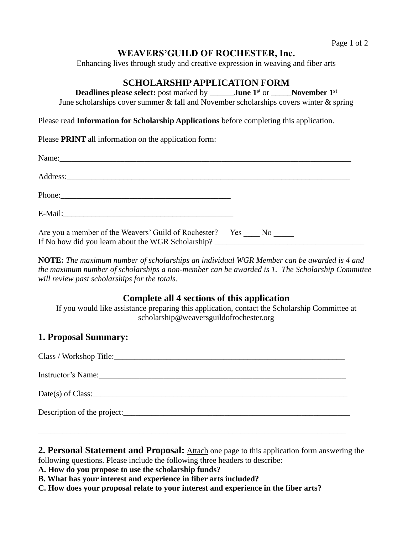# **WEAVERS'GUILD OF ROCHESTER, Inc.**

Enhancing lives through study and creative expression in weaving and fiber arts

# **SCHOLARSHIP APPLICATION FORM**

**Deadlines please select:** post marked by \_\_\_\_\_\_**June 1<sup>s</sup>**<sup>t</sup> or \_\_\_\_\_**November 1st**

June scholarships cover summer  $\&$  fall and November scholarships covers winter  $\&$  spring

Please read **Information for Scholarship Applications** before completing this application.

Please **PRINT** all information on the application form:

| Are you a member of the Weavers' Guild of Rochester? Yes No<br>If No how did you learn about the WGR Scholarship? |  |  |
|-------------------------------------------------------------------------------------------------------------------|--|--|

**NOTE:** *The maximum number of scholarships an individual WGR Member can be awarded is 4 and the maximum number of scholarships a non-member can be awarded is 1. The Scholarship Committee will review past scholarships for the totals.*

## **Complete all 4 sections of this application**

If you would like assistance preparing this application, contact the Scholarship Committee at [scholarship@weaversguildofrochester.org](mailto:scholarship@weaversguildofrochester.org)

# **1. Proposal Summary:**

| $Date(s)$ of Class:         |
|-----------------------------|
| Description of the project: |
|                             |

**2. Personal Statement and Proposal:** Attach one page to this application form answering the following questions. Please include the following three headers to describe:

**A. How do you propose to use the scholarship funds?**

- **B. What has your interest and experience in fiber arts included?**
- **C. How does your proposal relate to your interest and experience in the fiber arts?**